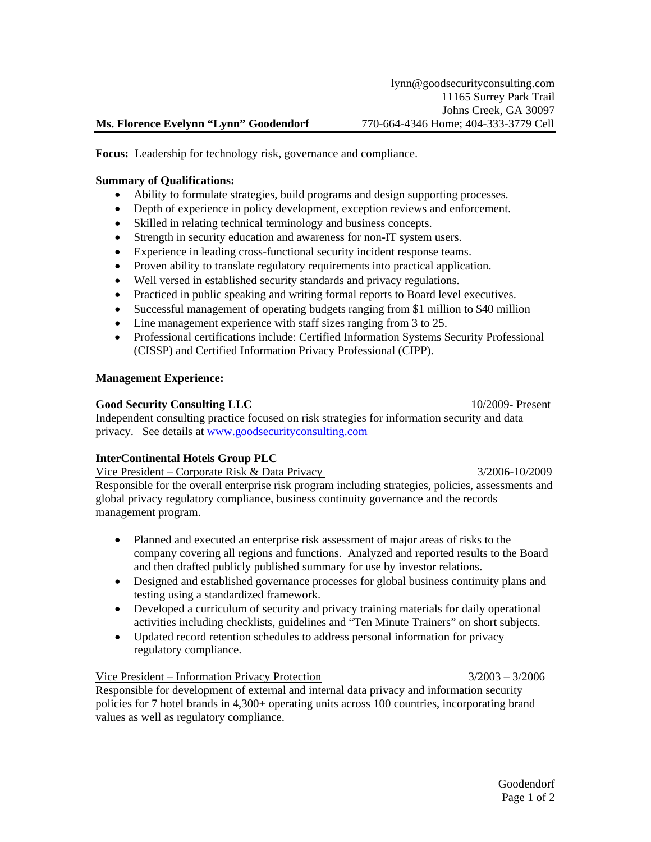# **Ms. Florence Evelynn "Lynn" Goodendorf** 770-664-4346 Home; 404-333-3779 Cell

**Focus:** Leadership for technology risk, governance and compliance.

### **Summary of Qualifications:**

- Ability to formulate strategies, build programs and design supporting processes.
- Depth of experience in policy development, exception reviews and enforcement.
- Skilled in relating technical terminology and business concepts.
- Strength in security education and awareness for non-IT system users.
- Experience in leading cross-functional security incident response teams.
- Proven ability to translate regulatory requirements into practical application.
- Well versed in established security standards and privacy regulations.
- Practiced in public speaking and writing formal reports to Board level executives.
- Successful management of operating budgets ranging from \$1 million to \$40 million
- Line management experience with staff sizes ranging from 3 to 25.
- Professional certifications include: Certified Information Systems Security Professional (CISSP) and Certified Information Privacy Professional (CIPP).

# **Management Experience:**

# **Good Security Consulting LLC** 10/2009- Present

Independent consulting practice focused on risk strategies for information security and data privacy. See details at [www.goodsecurityconsulting.com](http://www.goodsecurityconsulting.com/) 

# **InterContinental Hotels Group PLC**

Vice President – Corporate Risk & Data Privacy 3/2006-10/2009

Responsible for the overall enterprise risk program including strategies, policies, assessments and global privacy regulatory compliance, business continuity governance and the records management program.

- Planned and executed an enterprise risk assessment of major areas of risks to the company covering all regions and functions. Analyzed and reported results to the Board and then drafted publicly published summary for use by investor relations.
- Designed and established governance processes for global business continuity plans and testing using a standardized framework.
- Developed a curriculum of security and privacy training materials for daily operational activities including checklists, guidelines and "Ten Minute Trainers" on short subjects.
- Updated record retention schedules to address personal information for privacy regulatory compliance.

Vice President – Information Privacy Protection 3/2003 – 3/2006

Responsible for development of external and internal data privacy and information security policies for 7 hotel brands in 4,300+ operating units across 100 countries, incorporating brand values as well as regulatory compliance.